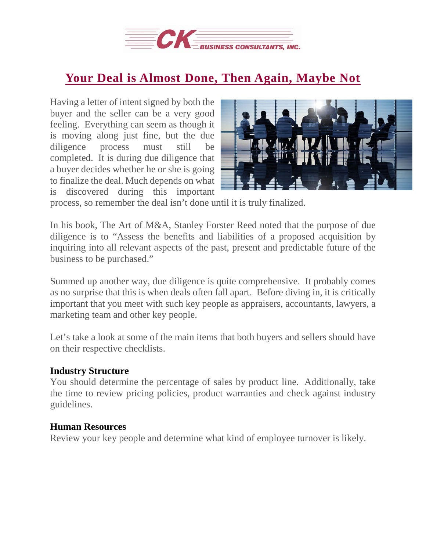

# **Your Deal is [Almost](https://deal-studio.com/your-deal-is-almost-done-then-again-maybe-not/) Done, Then Again, Maybe Not**

Having a letter of intent signed by both the buyer and the seller can be a very good feeling. Everything can seem as though it is moving along just fine, but the due diligence process must still be completed. It is during due diligence that a buyer decides whether he or she is going to finalize the deal. Much depends on what is discovered during this important



process, so remember the deal isn't done until it is truly finalized.

In his book, The Art of M&A, Stanley Forster Reed noted that the purpose of due diligence is to "Assess the benefits and liabilities of a proposed acquisition by inquiring into all relevant aspects of the past, present and predictable future of the business to be purchased."

Summed up another way, due diligence is quite comprehensive. It probably comes as no surprise that this is when deals often fall apart. Before diving in, it is critically important that you meet with such key people as appraisers, accountants, lawyers, a marketing team and other key people.

Let's take a look at some of the main items that both buyers and sellers should have on their respective checklists.

#### **Industry Structure**

You should determine the percentage of sales by product line. Additionally, take the time to review pricing policies, product warranties and check against industry guidelines.

#### **Human Resources**

Review your key people and determine what kind of employee turnover is likely.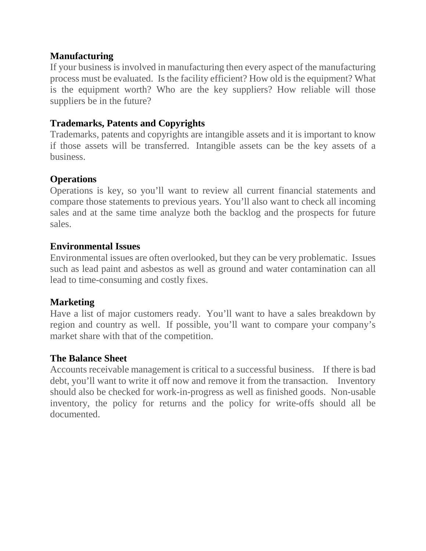## **Manufacturing**

If your business is involved in manufacturing then every aspect of the manufacturing process must be evaluated. Is the facility efficient? How old is the equipment? What is the equipment worth? Who are the key suppliers? How reliable will those suppliers be in the future?

## **Trademarks, Patents and Copyrights**

Trademarks, patents and copyrights are intangible assets and it is important to know if those assets will be transferred. Intangible assets can be the key assets of a business.

# **Operations**

Operations is key, so you'll want to review all current financial statements and compare those statements to previous years. You'll also want to check all incoming sales and at the same time analyze both the backlog and the prospects for future sales.

## **Environmental Issues**

Environmental issues are often overlooked, but they can be very problematic. Issues such as lead paint and asbestos as well as ground and water contamination can all lead to time-consuming and costly fixes.

#### **Marketing**

Have a list of major customers ready. You'll want to have a sales breakdown by region and country as well. If possible, you'll want to compare your company's market share with that of the competition.

#### **The Balance Sheet**

Accounts receivable management is critical to a successful business. If there is bad debt, you'll want to write it off now and remove it from the transaction. Inventory should also be checked for work-in-progress as well as finished goods. Non-usable inventory, the policy for returns and the policy for write-offs should all be documented.